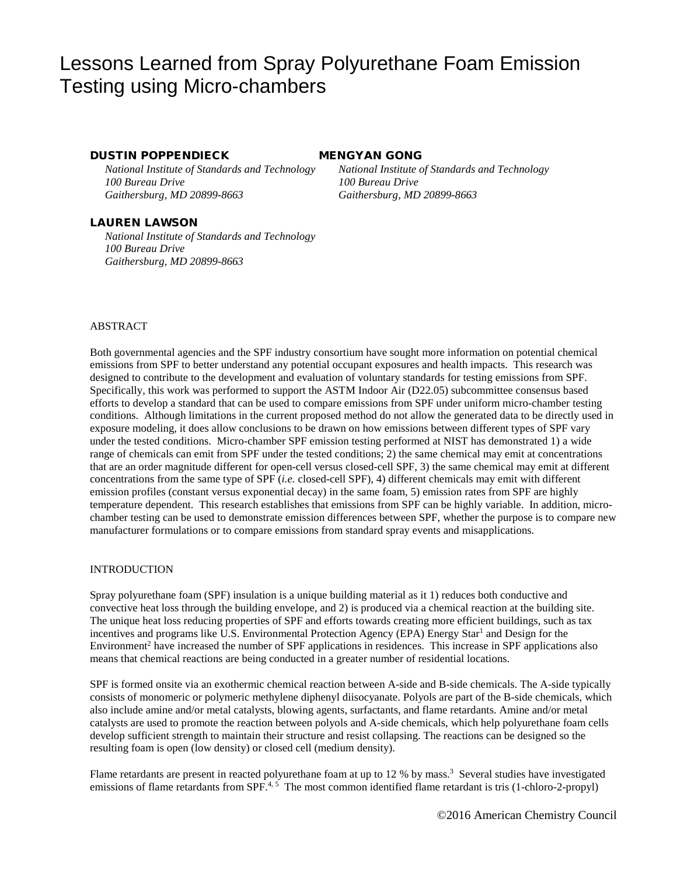# Lessons Learned from Spray Polyurethane Foam Emission Testing using Micro-chambers

# DUSTIN POPPENDIECK MENGYAN GONG

*100 Bureau Drive 100 Bureau Drive Gaithersburg, MD 20899-8663 Gaithersburg, MD 20899-8663*

# LAUREN LAWSON

*National Institute of Standards and Technology 100 Bureau Drive Gaithersburg, MD 20899-8663*

*National Institute of Standards and Technology National Institute of Standards and Technology*

# ABSTRACT

Both governmental agencies and the SPF industry consortium have sought more information on potential chemical emissions from SPF to better understand any potential occupant exposures and health impacts. This research was designed to contribute to the development and evaluation of voluntary standards for testing emissions from SPF. Specifically, this work was performed to support the ASTM Indoor Air (D22.05) subcommittee consensus based efforts to develop a standard that can be used to compare emissions from SPF under uniform micro-chamber testing conditions. Although limitations in the current proposed method do not allow the generated data to be directly used in exposure modeling, it does allow conclusions to be drawn on how emissions between different types of SPF vary under the tested conditions. Micro-chamber SPF emission testing performed at NIST has demonstrated 1) a wide range of chemicals can emit from SPF under the tested conditions; 2) the same chemical may emit at concentrations that are an order magnitude different for open-cell versus closed-cell SPF, 3) the same chemical may emit at different concentrations from the same type of SPF (*i.e.* closed-cell SPF), 4) different chemicals may emit with different emission profiles (constant versus exponential decay) in the same foam, 5) emission rates from SPF are highly temperature dependent. This research establishes that emissions from SPF can be highly variable. In addition, microchamber testing can be used to demonstrate emission differences between SPF, whether the purpose is to compare new manufacturer formulations or to compare emissions from standard spray events and misapplications.

# INTRODUCTION

Spray polyurethane foam (SPF) insulation is a unique building material as it 1) reduces both conductive and convective heat loss through the building envelope, and 2) is produced via a chemical reaction at the building site. The unique heat loss reducing properties of SPF and efforts towards creating more efficient buildings, such as tax incentives and programs like U.S. Environmental Protection Agency (EPA) Energy Star<sup>1</sup> and Design for the Environment<sup>2</sup> have increased the number of SPF applications in residences. This increase in SPF applications also means that chemical reactions are being conducted in a greater number of residential locations.

SPF is formed onsite via an exothermic chemical reaction between A-side and B-side chemicals. The A-side typically consists of monomeric or polymeric methylene diphenyl diisocyanate. Polyols are part of the B-side chemicals, which also include amine and/or metal catalysts, blowing agents, surfactants, and flame retardants. Amine and/or metal catalysts are used to promote the reaction between polyols and A-side chemicals, which help polyurethane foam cells develop sufficient strength to maintain their structure and resist collapsing. The reactions can be designed so the resulting foam is open (low density) or closed cell (medium density).

Flame retardants are present in reacted polyurethane foam at up to 12 % by mass.<sup>3</sup> Several studies have investigated emissions of flame retardants from SPF.<sup>4, 5</sup> The most common identified flame retardant is tris (1-chloro-2-propyl)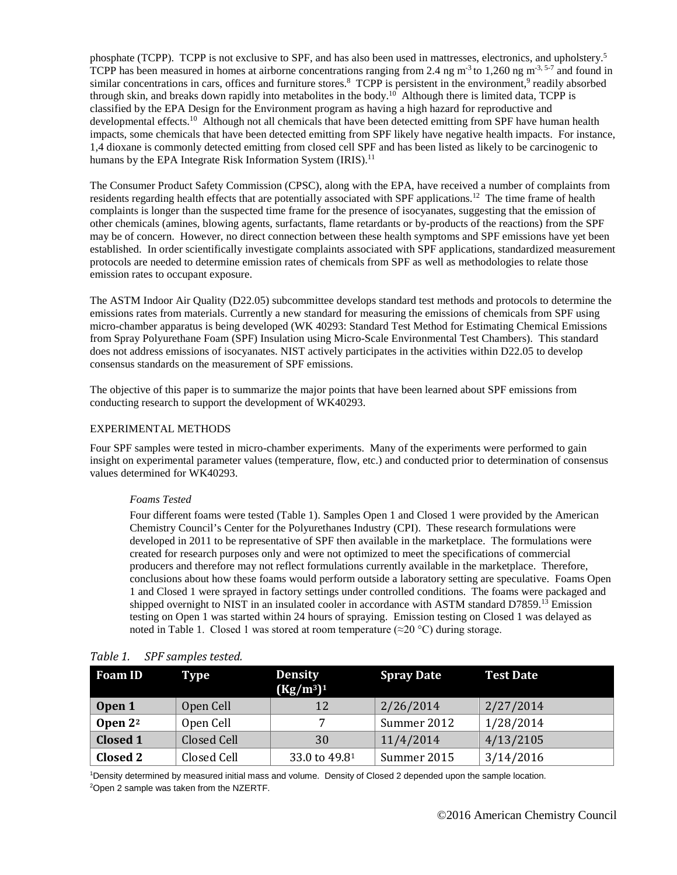phosphate (TCPP). TCPP is not exclusive to SPF, and has also been used in mattresses, electronics, and upholstery.<sup>5</sup> TCPP has been measured in homes at airborne concentrations ranging from 2.4 ng m<sup>-3</sup> to 1,260 ng m<sup>-3, 5-7</sup> and found in similar concentrations in cars, offices and furniture stores.<sup>8</sup> TCPP is persistent in the environment,<sup>9</sup> readily absorbed through skin, and breaks down rapidly into metabolites in the body.<sup>10</sup> Although there is limited data, TCPP is classified by the EPA Design for the Environment program as having a high hazard for reproductive and developmental effects.<sup>10</sup> Although not all chemicals that have been detected emitting from SPF have human health impacts, some chemicals that have been detected emitting from SPF likely have negative health impacts. For instance, 1,4 dioxane is commonly detected emitting from closed cell SPF and has been listed as likely to be carcinogenic to humans by the EPA Integrate Risk Information System (IRIS).<sup>11</sup>

The Consumer Product Safety Commission (CPSC), along with the EPA, have received a number of complaints from residents regarding health effects that are potentially associated with SPF applications.<sup>12</sup> The time frame of health complaints is longer than the suspected time frame for the presence of isocyanates, suggesting that the emission of other chemicals (amines, blowing agents, surfactants, flame retardants or by-products of the reactions) from the SPF may be of concern. However, no direct connection between these health symptoms and SPF emissions have yet been established. In order scientifically investigate complaints associated with SPF applications, standardized measurement protocols are needed to determine emission rates of chemicals from SPF as well as methodologies to relate those emission rates to occupant exposure.

The ASTM Indoor Air Quality (D22.05) subcommittee develops standard test methods and protocols to determine the emissions rates from materials. Currently a new standard for measuring the emissions of chemicals from SPF using micro-chamber apparatus is being developed (WK 40293: Standard Test Method for Estimating Chemical Emissions from Spray Polyurethane Foam (SPF) Insulation using Micro-Scale Environmental Test Chambers). This standard does not address emissions of isocyanates. NIST actively participates in the activities within D22.05 to develop consensus standards on the measurement of SPF emissions.

The objective of this paper is to summarize the major points that have been learned about SPF emissions from conducting research to support the development of WK40293.

# EXPERIMENTAL METHODS

Four SPF samples were tested in micro-chamber experiments. Many of the experiments were performed to gain insight on experimental parameter values (temperature, flow, etc.) and conducted prior to determination of consensus values determined for WK40293.

# *Foams Tested*

Four different foams were tested [\(Table 1\)](#page-1-0). Samples Open 1 and Closed 1 were provided by the American Chemistry Council's Center for the Polyurethanes Industry (CPI). These research formulations were developed in 2011 to be representative of SPF then available in the marketplace. The formulations were created for research purposes only and were not optimized to meet the specifications of commercial producers and therefore may not reflect formulations currently available in the marketplace. Therefore, conclusions about how these foams would perform outside a laboratory setting are speculative. Foams Open 1 and Closed 1 were sprayed in factory settings under controlled conditions. The foams were packaged and shipped overnight to NIST in an insulated cooler in accordance with ASTM standard D7859.<sup>13</sup> Emission testing on Open 1 was started within 24 hours of spraying. Emission testing on Closed 1 was delayed as noted in [Table 1](#page-1-0). Closed 1 was stored at room temperature ( $\approx$ 20 °C) during storage.

| <b>Foam ID</b>  | Type        | <b>Density</b><br>$(Kg/m^3)^1$ | <b>Spray Date</b> | <b>Test Date</b> |
|-----------------|-------------|--------------------------------|-------------------|------------------|
| Open 1          | Open Cell   | 12                             | 2/26/2014         | 2/27/2014        |
| Open $2^2$      | Open Cell   |                                | Summer 2012       | 1/28/2014        |
| <b>Closed 1</b> | Closed Cell | 30                             | 11/4/2014         | 4/13/2105        |
| Closed 2        | Closed Cell | 33.0 to 49.81                  | Summer 2015       | 3/14/2016        |

# <span id="page-1-0"></span>*Table 1. SPF samples tested.*

1 Density determined by measured initial mass and volume. Density of Closed 2 depended upon the sample location. 2 Open 2 sample was taken from the NZERTF.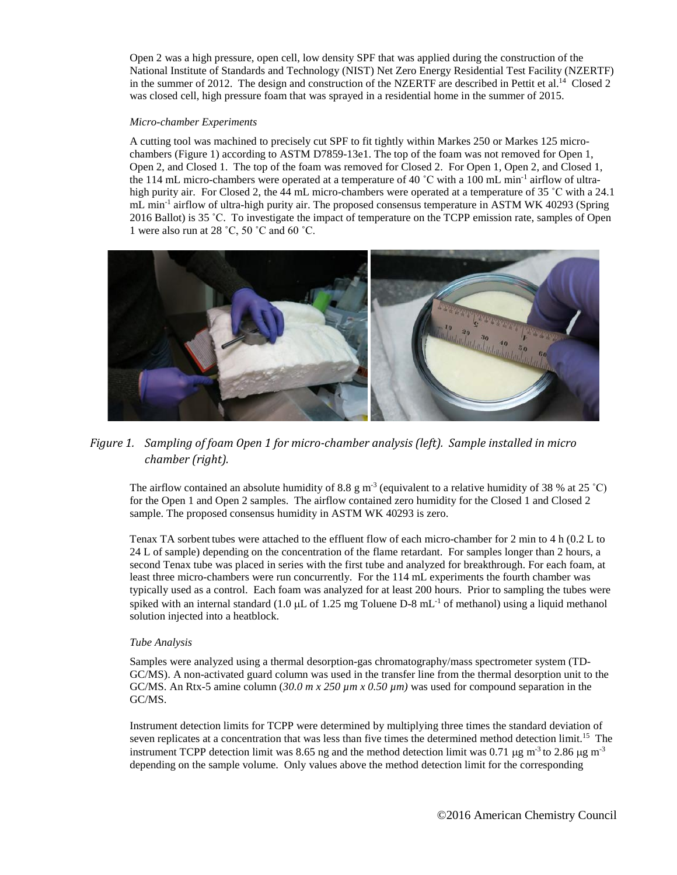Open 2 was a high pressure, open cell, low density SPF that was applied during the construction of the National Institute of Standards and Technology (NIST) Net Zero Energy Residential Test Facility (NZERTF) in the summer of 2012. The design and construction of the NZERTF are described in Pettit et al.<sup>14</sup> Closed 2 was closed cell, high pressure foam that was sprayed in a residential home in the summer of 2015.

### *Micro-chamber Experiments*

A cutting tool was machined to precisely cut SPF to fit tightly within Markes 250 or Markes 125 microchambers (Figure 1) according to ASTM D7859-13e1. The top of the foam was not removed for Open 1, Open 2, and Closed 1. The top of the foam was removed for Closed 2. For Open 1, Open 2, and Closed 1, the 114 mL micro-chambers were operated at a temperature of 40  $^{\circ}$ C with a 100 mL min<sup>-1</sup> airflow of ultrahigh purity air. For Closed 2, the 44 mL micro-chambers were operated at a temperature of 35 °C with a 24.1 mL min<sup>-1</sup> airflow of ultra-high purity air. The proposed consensus temperature in ASTM WK 40293 (Spring 2016 Ballot) is 35 ˚C. To investigate the impact of temperature on the TCPP emission rate, samples of Open 1 were also run at 28 ˚C, 50 ˚C and 60 ˚C.



# *Figure 1. Sampling of foam Open 1 for micro-chamber analysis (left). Sample installed in micro chamber (right).*

The airflow contained an absolute humidity of 8.8 g m<sup>-3</sup> (equivalent to a relative humidity of 38 % at 25 °C) for the Open 1 and Open 2 samples. The airflow contained zero humidity for the Closed 1 and Closed 2 sample. The proposed consensus humidity in ASTM WK 40293 is zero.

Tenax TA sorbent tubes were attached to the effluent flow of each micro-chamber for 2 min to 4 h (0.2 L to 24 L of sample) depending on the concentration of the flame retardant. For samples longer than 2 hours, a second Tenax tube was placed in series with the first tube and analyzed for breakthrough. For each foam, at least three micro-chambers were run concurrently. For the 114 mL experiments the fourth chamber was typically used as a control. Each foam was analyzed for at least 200 hours. Prior to sampling the tubes were spiked with an internal standard (1.0  $\mu$ L of 1.25 mg Toluene D-8 mL<sup>-1</sup> of methanol) using a liquid methanol solution injected into a heatblock.

# *Tube Analysis*

Samples were analyzed using a thermal desorption-gas chromatography/mass spectrometer system (TD-GC/MS). A non-activated guard column was used in the transfer line from the thermal desorption unit to the GC/MS. An Rtx-5 amine column (*30.0 m x 250 µm x 0.50 µm)* was used for compound separation in the GC/MS.

Instrument detection limits for TCPP were determined by multiplying three times the standard deviation of seven replicates at a concentration that was less than five times the determined method detection limit.<sup>15</sup> The instrument TCPP detection limit was 8.65 ng and the method detection limit was 0.71  $\mu$ g m<sup>-3</sup> to 2.86  $\mu$ g m<sup>-3</sup> depending on the sample volume. Only values above the method detection limit for the corresponding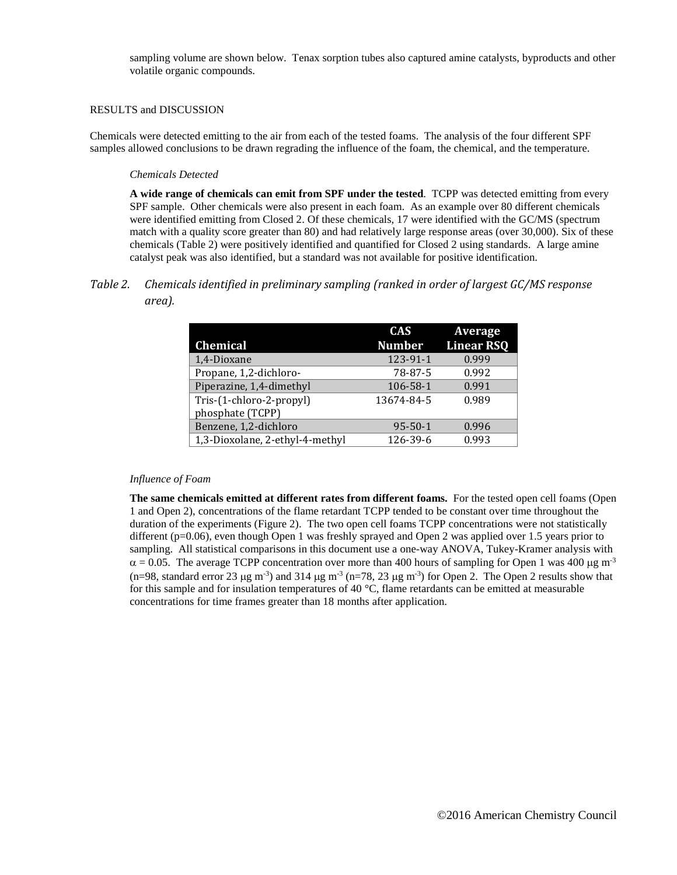sampling volume are shown below. Tenax sorption tubes also captured amine catalysts, byproducts and other volatile organic compounds.

# RESULTS and DISCUSSION

Chemicals were detected emitting to the air from each of the tested foams. The analysis of the four different SPF samples allowed conclusions to be drawn regrading the influence of the foam, the chemical, and the temperature.

# *Chemicals Detected*

**A wide range of chemicals can emit from SPF under the tested**. TCPP was detected emitting from every SPF sample. Other chemicals were also present in each foam. As an example over 80 different chemicals were identified emitting from Closed 2. Of these chemicals, 17 were identified with the GC/MS (spectrum match with a quality score greater than 80) and had relatively large response areas (over 30,000). Six of these chemicals [\(Table 2\)](#page-3-0) were positively identified and quantified for Closed 2 using standards. A large amine catalyst peak was also identified, but a standard was not available for positive identification.

# <span id="page-3-0"></span>*Table 2. Chemicals identified in preliminary sampling (ranked in order of largest GC/MS response area).*

|                                 | <b>CAS</b>    | Average           |
|---------------------------------|---------------|-------------------|
| <b>Chemical</b>                 | <b>Number</b> | <b>Linear RSQ</b> |
| 1,4-Dioxane                     | 123-91-1      | 0.999             |
| Propane, 1,2-dichloro-          | 78-87-5       | 0.992             |
| Piperazine, 1,4-dimethyl        | 106-58-1      | 0.991             |
| Tris-(1-chloro-2-propyl)        | 13674-84-5    | 0.989             |
| phosphate (TCPP)                |               |                   |
| Benzene, 1,2-dichloro           | $95 - 50 - 1$ | 0.996             |
| 1,3-Dioxolane, 2-ethyl-4-methyl | 126-39-6      | 0.993             |

# *Influence of Foam*

**The same chemicals emitted at different rates from different foams.** For the tested open cell foams (Open 1 and Open 2), concentrations of the flame retardant TCPP tended to be constant over time throughout the duration of the experiments [\(Figure 2\)](#page-4-0). The two open cell foams TCPP concentrations were not statistically different (p=0.06), even though Open 1 was freshly sprayed and Open 2 was applied over 1.5 years prior to sampling. All statistical comparisons in this document use a one-way ANOVA, Tukey-Kramer analysis with  $\alpha$  = 0.05. The average TCPP concentration over more than 400 hours of sampling for Open 1 was 400 µg m<sup>-3</sup>  $(n=98,$  standard error 23  $\mu$ g m<sup>-3</sup>) and 314  $\mu$ g m<sup>-3</sup> (n=78, 23  $\mu$ g m<sup>-3</sup>) for Open 2. The Open 2 results show that for this sample and for insulation temperatures of 40 °C, flame retardants can be emitted at measurable concentrations for time frames greater than 18 months after application.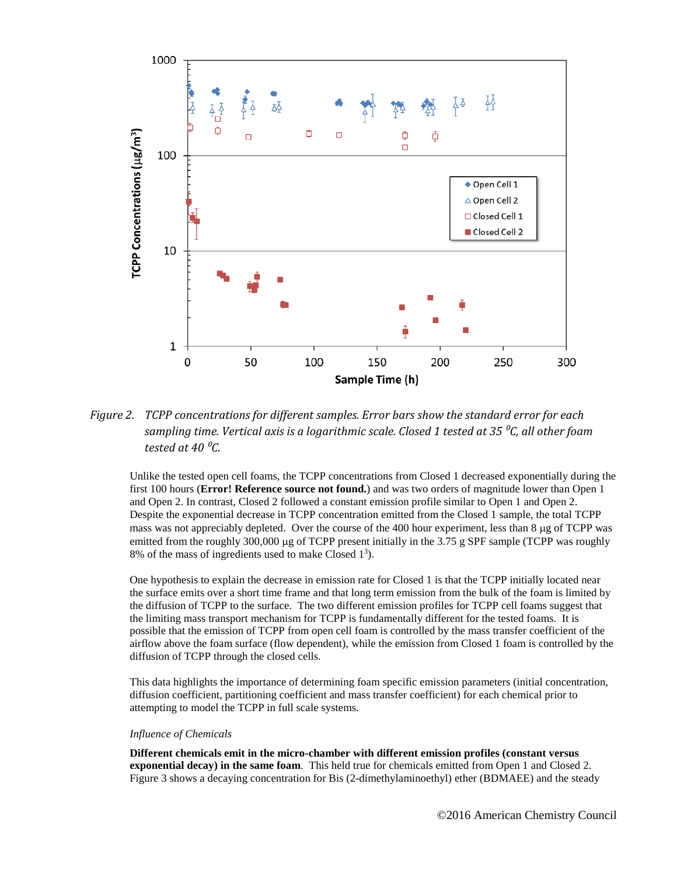

<span id="page-4-0"></span>*Figure 2. TCPP concentrations for different samples. Error bars show the standard error for each sampling time. Vertical axis is a logarithmic scale. Closed 1 tested at 35 ⁰C, all other foam tested at 40 ⁰C.* 

Unlike the tested open cell foams, the TCPP concentrations from Closed 1 decreased exponentially during the first 100 hours (**Error! Reference source not found.**) and was two orders of magnitude lower than Open 1 and Open 2. In contrast, Closed 2 followed a constant emission profile similar to Open 1 and Open 2. Despite the exponential decrease in TCPP concentration emitted from the Closed 1 sample, the total TCPP mass was not appreciably depleted. Over the course of the 400 hour experiment, less than  $8 \mu g$  of TCPP was emitted from the roughly 300,000 µg of TCPP present initially in the 3.75 g SPF sample (TCPP was roughly 8% of the mass of ingredients used to make Closed  $1<sup>3</sup>$ ).

One hypothesis to explain the decrease in emission rate for Closed 1 is that the TCPP initially located near the surface emits over a short time frame and that long term emission from the bulk of the foam is limited by the diffusion of TCPP to the surface. The two different emission profiles for TCPP cell foams suggest that the limiting mass transport mechanism for TCPP is fundamentally different for the tested foams. It is possible that the emission of TCPP from open cell foam is controlled by the mass transfer coefficient of the airflow above the foam surface (flow dependent), while the emission from Closed 1 foam is controlled by the diffusion of TCPP through the closed cells.

This data highlights the importance of determining foam specific emission parameters (initial concentration, diffusion coefficient, partitioning coefficient and mass transfer coefficient) for each chemical prior to attempting to model the TCPP in full scale systems.

### *Influence of Chemicals*

**Different chemicals emit in the micro-chamber with different emission profiles (constant versus exponential decay) in the same foam**. This held true for chemicals emitted from Open 1 and Closed 2. [Figure 3](#page-5-0) shows a decaying concentration for Bis (2-dimethylaminoethyl) ether (BDMAEE) and the steady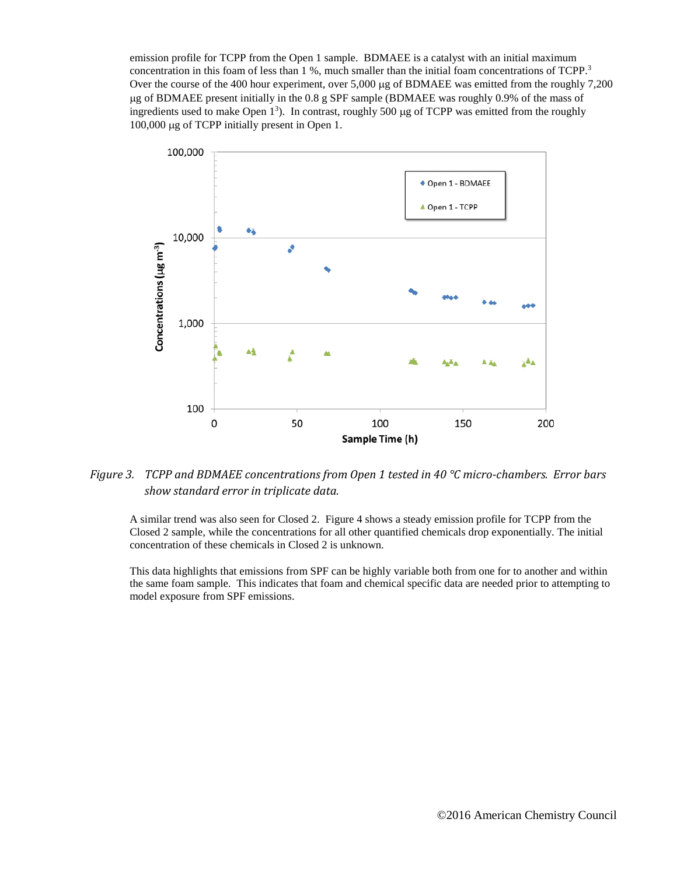emission profile for TCPP from the Open 1 sample. BDMAEE is a catalyst with an initial maximum concentration in this foam of less than 1 %, much smaller than the initial foam concentrations of TCPP.<sup>3</sup> Over the course of the 400 hour experiment, over 5,000 µg of BDMAEE was emitted from the roughly 7,200 µg of BDMAEE present initially in the 0.8 g SPF sample (BDMAEE was roughly 0.9% of the mass of ingredients used to make Open  $1<sup>3</sup>$ ). In contrast, roughly 500 µg of TCPP was emitted from the roughly 100,000 µg of TCPP initially present in Open 1.



# <span id="page-5-0"></span>*Figure 3. TCPP and BDMAEE concentrations from Open 1 tested in 40 °C micro-chambers. Error bars show standard error in triplicate data.*

A similar trend was also seen for Closed 2. [Figure 4](#page-6-0) shows a steady emission profile for TCPP from the Closed 2 sample, while the concentrations for all other quantified chemicals drop exponentially. The initial concentration of these chemicals in Closed 2 is unknown.

This data highlights that emissions from SPF can be highly variable both from one for to another and within the same foam sample. This indicates that foam and chemical specific data are needed prior to attempting to model exposure from SPF emissions.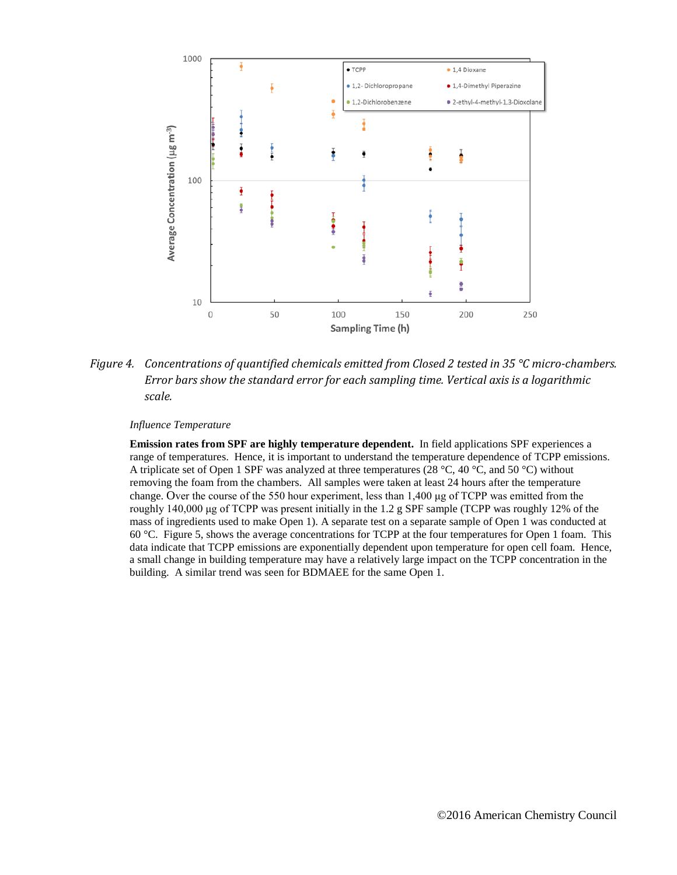

<span id="page-6-0"></span>*Figure 4. Concentrations of quantified chemicals emitted from Closed 2 tested in 35 °C micro-chambers. Error bars show the standard error for each sampling time. Vertical axis is a logarithmic scale.* 

*Influence Temperature*

**Emission rates from SPF are highly temperature dependent.** In field applications SPF experiences a range of temperatures. Hence, it is important to understand the temperature dependence of TCPP emissions. A triplicate set of Open 1 SPF was analyzed at three temperatures (28 °C, 40 °C, and 50 °C) without removing the foam from the chambers. All samples were taken at least 24 hours after the temperature change. Over the course of the 550 hour experiment, less than 1,400 μg of TCPP was emitted from the roughly 140,000 μg of TCPP was present initially in the 1.2 g SPF sample (TCPP was roughly 12% of the mass of ingredients used to make Open 1). A separate test on a separate sample of Open 1 was conducted at 60 °C. [Figure 5,](#page-7-0) shows the average concentrations for TCPP at the four temperatures for Open 1 foam. This data indicate that TCPP emissions are exponentially dependent upon temperature for open cell foam. Hence, a small change in building temperature may have a relatively large impact on the TCPP concentration in the building. A similar trend was seen for BDMAEE for the same Open 1.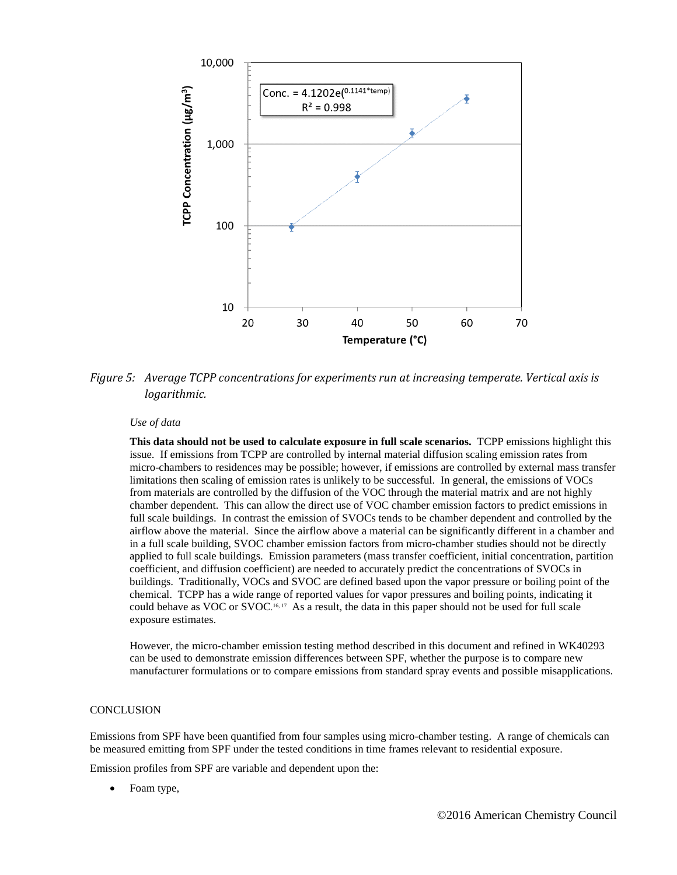

<span id="page-7-0"></span>*Figure 5: Average TCPP concentrations for experiments run at increasing temperate. Vertical axis is logarithmic.* 

#### *Use of data*

**This data should not be used to calculate exposure in full scale scenarios.** TCPP emissions highlight this issue. If emissions from TCPP are controlled by internal material diffusion scaling emission rates from micro-chambers to residences may be possible; however, if emissions are controlled by external mass transfer limitations then scaling of emission rates is unlikely to be successful. In general, the emissions of VOCs from materials are controlled by the diffusion of the VOC through the material matrix and are not highly chamber dependent. This can allow the direct use of VOC chamber emission factors to predict emissions in full scale buildings. In contrast the emission of SVOCs tends to be chamber dependent and controlled by the airflow above the material. Since the airflow above a material can be significantly different in a chamber and in a full scale building, SVOC chamber emission factors from micro-chamber studies should not be directly applied to full scale buildings. Emission parameters (mass transfer coefficient, initial concentration, partition coefficient, and diffusion coefficient) are needed to accurately predict the concentrations of SVOCs in buildings. Traditionally, VOCs and SVOC are defined based upon the vapor pressure or boiling point of the chemical. TCPP has a wide range of reported values for vapor pressures and boiling points, indicating it could behave as VOC or SVOC.<sup>16, 17</sup> As a result, the data in this paper should not be used for full scale exposure estimates.

However, the micro-chamber emission testing method described in this document and refined in WK40293 can be used to demonstrate emission differences between SPF, whether the purpose is to compare new manufacturer formulations or to compare emissions from standard spray events and possible misapplications.

# **CONCLUSION**

Emissions from SPF have been quantified from four samples using micro-chamber testing. A range of chemicals can be measured emitting from SPF under the tested conditions in time frames relevant to residential exposure.

Emission profiles from SPF are variable and dependent upon the:

• Foam type,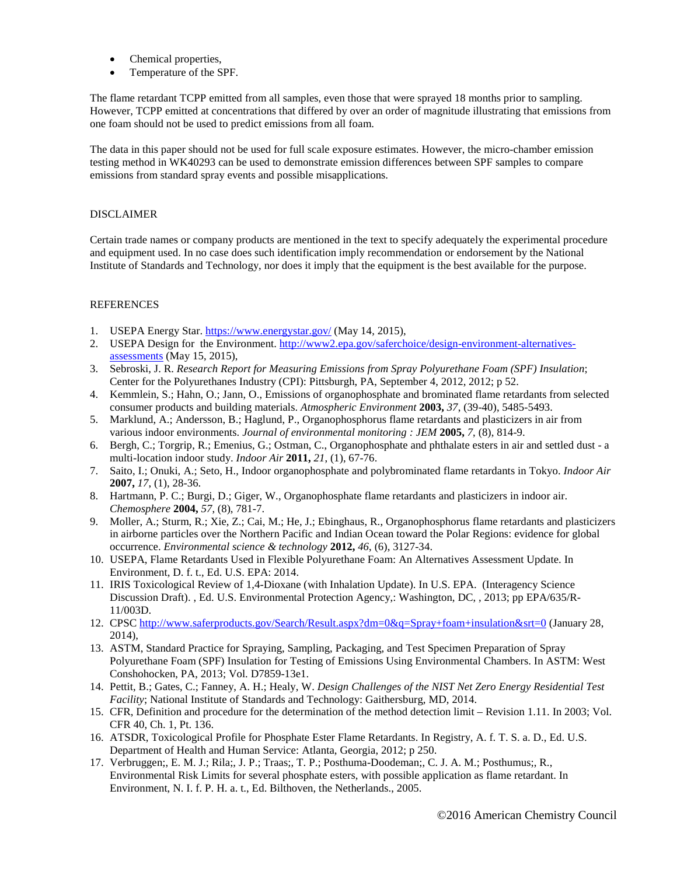- Chemical properties,
- Temperature of the SPF.

The flame retardant TCPP emitted from all samples, even those that were sprayed 18 months prior to sampling. However, TCPP emitted at concentrations that differed by over an order of magnitude illustrating that emissions from one foam should not be used to predict emissions from all foam.

The data in this paper should not be used for full scale exposure estimates. However, the micro-chamber emission testing method in WK40293 can be used to demonstrate emission differences between SPF samples to compare emissions from standard spray events and possible misapplications.

# DISCLAIMER

Certain trade names or company products are mentioned in the text to specify adequately the experimental procedure and equipment used. In no case does such identification imply recommendation or endorsement by the National Institute of Standards and Technology, nor does it imply that the equipment is the best available for the purpose.

# **REFERENCES**

- 1. USEPA Energy Star. <https://www.energystar.gov/> (May 14, 2015),
- 2. USEPA Design for the Environment. [http://www2.epa.gov/saferchoice/design-environment-alternatives](http://www2.epa.gov/saferchoice/design-environment-alternatives-assessments)[assessments](http://www2.epa.gov/saferchoice/design-environment-alternatives-assessments) (May 15, 2015),
- 3. Sebroski, J. R. *Research Report for Measuring Emissions from Spray Polyurethane Foam (SPF) Insulation*; Center for the Polyurethanes Industry (CPI): Pittsburgh, PA, September 4, 2012, 2012; p 52.
- 4. Kemmlein, S.; Hahn, O.; Jann, O., Emissions of organophosphate and brominated flame retardants from selected consumer products and building materials. *Atmospheric Environment* **2003,** *37*, (39-40), 5485-5493.
- 5. Marklund, A.; Andersson, B.; Haglund, P., Organophosphorus flame retardants and plasticizers in air from various indoor environments. *Journal of environmental monitoring : JEM* **2005,** *7*, (8), 814-9.
- 6. Bergh, C.; Torgrip, R.; Emenius, G.; Ostman, C., Organophosphate and phthalate esters in air and settled dust a multi-location indoor study. *Indoor Air* **2011,** *21*, (1), 67-76.
- 7. Saito, I.; Onuki, A.; Seto, H., Indoor organophosphate and polybrominated flame retardants in Tokyo. *Indoor Air*  **2007,** *17*, (1), 28-36.
- 8. Hartmann, P. C.; Burgi, D.; Giger, W., Organophosphate flame retardants and plasticizers in indoor air. *Chemosphere* **2004,** *57*, (8), 781-7.
- 9. Moller, A.; Sturm, R.; Xie, Z.; Cai, M.; He, J.; Ebinghaus, R., Organophosphorus flame retardants and plasticizers in airborne particles over the Northern Pacific and Indian Ocean toward the Polar Regions: evidence for global occurrence. *Environmental science & technology* **2012,** *46*, (6), 3127-34.
- 10. USEPA, Flame Retardants Used in Flexible Polyurethane Foam: An Alternatives Assessment Update. In Environment, D. f. t., Ed. U.S. EPA: 2014.
- 11. IRIS Toxicological Review of 1,4-Dioxane (with Inhalation Update). In U.S. EPA. (Interagency Science Discussion Draft). , Ed. U.S. Environmental Protection Agency,: Washington, DC, , 2013; pp EPA/635/R-11/003D.
- 12. CPSC<http://www.saferproducts.gov/Search/Result.aspx?dm=0&q=Spray+foam+insulation&srt=0> (January 28, 2014),
- 13. ASTM, Standard Practice for Spraying, Sampling, Packaging, and Test Specimen Preparation of Spray Polyurethane Foam (SPF) Insulation for Testing of Emissions Using Environmental Chambers. In ASTM: West Conshohocken, PA, 2013; Vol. D7859-13e1.
- 14. Pettit, B.; Gates, C.; Fanney, A. H.; Healy, W. *Design Challenges of the NIST Net Zero Energy Residential Test Facility*; National Institute of Standards and Technology: Gaithersburg, MD, 2014.
- 15. CFR, Definition and procedure for the determination of the method detection limit Revision 1.11. In 2003; Vol. CFR 40, Ch. 1, Pt. 136.
- 16. ATSDR, Toxicological Profile for Phosphate Ester Flame Retardants. In Registry, A. f. T. S. a. D., Ed. U.S. Department of Health and Human Service: Atlanta, Georgia, 2012; p 250.
- 17. Verbruggen;, E. M. J.; Rila;, J. P.; Traas;, T. P.; Posthuma-Doodeman;, C. J. A. M.; Posthumus;, R., Environmental Risk Limits for several phosphate esters, with possible application as flame retardant. In Environment, N. I. f. P. H. a. t., Ed. Bilthoven, the Netherlands., 2005.